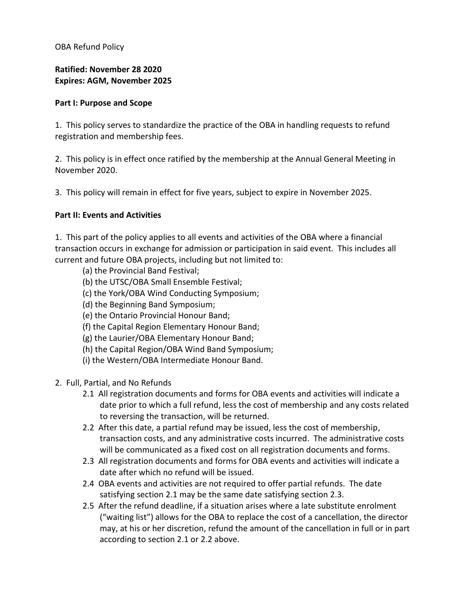OBA Refund Policy

**Ratified: November 28 2020 Expires: AGM, November 2025**

## **Part I: Purpose and Scope**

1. This policy serves to standardize the practice of the OBA in handling requests to refund registration and membership fees.

2. This policy is in effect once ratified by the membership at the Annual General Meeting in November 2020.

3. This policy will remain in effect for five years, subject to expire in November 2025.

## **Part II: Events and Activities**

1. This part of the policy applies to all events and activities of the OBA where a financial transaction occurs in exchange for admission or participation in said event. This includes all current and future OBA projects, including but not limited to:

- (a) the Provincial Band Festival;
- (b) the UTSC/OBA Small Ensemble Festival;
- (c) the York/OBA Wind Conducting Symposium;
- (d) the Beginning Band Symposium;
- (e) the Ontario Provincial Honour Band;
- (f) the Capital Region Elementary Honour Band;
- (g) the Laurier/OBA Elementary Honour Band;
- (h) the Capital Region/OBA Wind Band Symposium;
- (i) the Western/OBA Intermediate Honour Band.
- 2. Full, Partial, and No Refunds
	- 2.1 All registration documents and forms for OBA events and activities will indicate a date prior to which a full refund, less the cost of membership and any costs related to reversing the transaction, will be returned.
	- 2.2 After this date, a partial refund may be issued, less the cost of membership, transaction costs, and any administrative costs incurred. The administrative costs will be communicated as a fixed cost on all registration documents and forms.
	- 2.3 All registration documents and forms for OBA events and activities will indicate a date after which no refund will be issued.
	- 2.4 OBA events and activities are not required to offer partial refunds. The date satisfying section 2.1 may be the same date satisfying section 2.3.
	- 2.5 After the refund deadline, if a situation arises where a late substitute enrolment ("waiting list") allows for the OBA to replace the cost of a cancellation, the director may, at his or her discretion, refund the amount of the cancellation in full or in part according to section 2.1 or 2.2 above.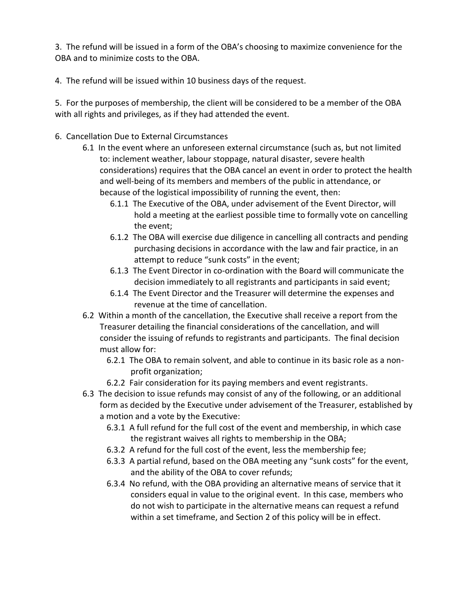3. The refund will be issued in a form of the OBA's choosing to maximize convenience for the OBA and to minimize costs to the OBA.

4. The refund will be issued within 10 business days of the request.

5. For the purposes of membership, the client will be considered to be a member of the OBA with all rights and privileges, as if they had attended the event.

- 6. Cancellation Due to External Circumstances
	- 6.1 In the event where an unforeseen external circumstance (such as, but not limited to: inclement weather, labour stoppage, natural disaster, severe health considerations) requires that the OBA cancel an event in order to protect the health and well-being of its members and members of the public in attendance, or because of the logistical impossibility of running the event, then:
		- 6.1.1 The Executive of the OBA, under advisement of the Event Director, will hold a meeting at the earliest possible time to formally vote on cancelling the event;
		- 6.1.2 The OBA will exercise due diligence in cancelling all contracts and pending purchasing decisions in accordance with the law and fair practice, in an attempt to reduce "sunk costs" in the event;
		- 6.1.3 The Event Director in co-ordination with the Board will communicate the decision immediately to all registrants and participants in said event;
		- 6.1.4 The Event Director and the Treasurer will determine the expenses and revenue at the time of cancellation.
	- 6.2 Within a month of the cancellation, the Executive shall receive a report from the Treasurer detailing the financial considerations of the cancellation, and will consider the issuing of refunds to registrants and participants. The final decision must allow for:
		- 6.2.1 The OBA to remain solvent, and able to continue in its basic role as a nonprofit organization;
		- 6.2.2 Fair consideration for its paying members and event registrants.
	- 6.3 The decision to issue refunds may consist of any of the following, or an additional form as decided by the Executive under advisement of the Treasurer, established by a motion and a vote by the Executive:
		- 6.3.1 A full refund for the full cost of the event and membership, in which case the registrant waives all rights to membership in the OBA;
		- 6.3.2 A refund for the full cost of the event, less the membership fee;
		- 6.3.3 A partial refund, based on the OBA meeting any "sunk costs" for the event, and the ability of the OBA to cover refunds;
		- 6.3.4 No refund, with the OBA providing an alternative means of service that it considers equal in value to the original event. In this case, members who do not wish to participate in the alternative means can request a refund within a set timeframe, and Section 2 of this policy will be in effect.